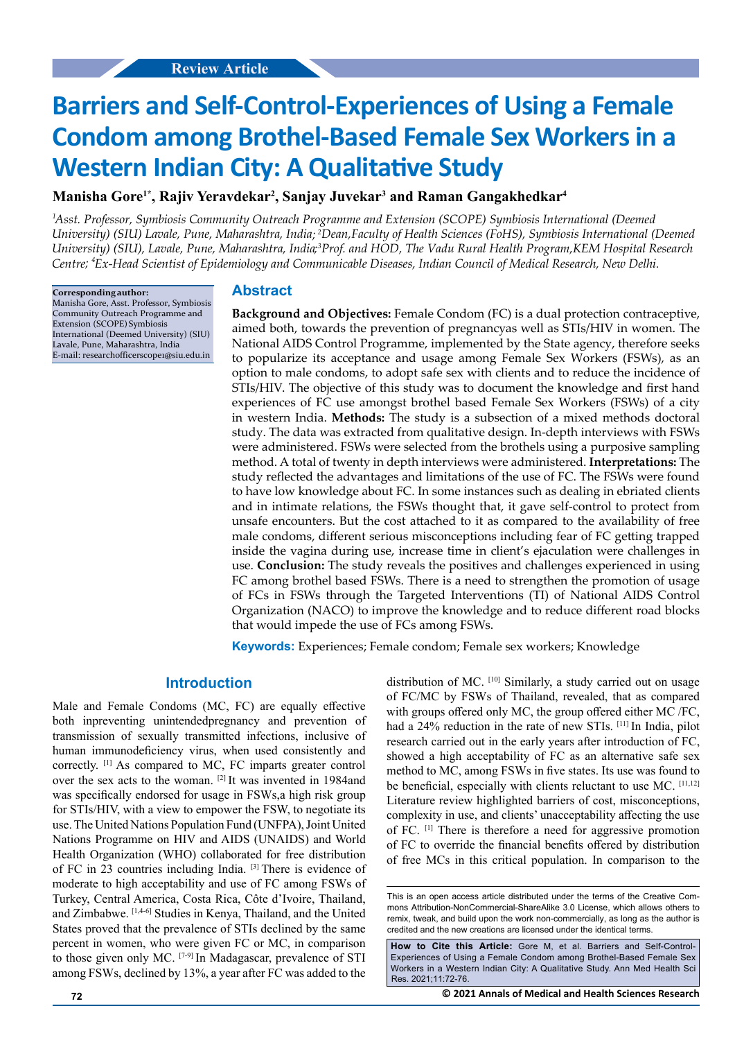# **Barriers and Self-Control-Experiences of Using a Female Condom among Brothel-Based Female Sex Workers in a Western Indian City: A Qualitative Study**

# **Manisha Gore1\*, Rajiv Yeravdekar2 , Sanjay Juvekar3 and Raman Gangakhedkar4**

<sup>1</sup>Asst. Professor, Symbiosis Community Outreach Programme and Extension (SCOPE) Symbiosis International (Deemed University) (SIU) Lavale, Pune, Maharashtra, India; <sup>2</sup>Dean,Faculty of Health Sciences (FoHS), Symbiosis International (Deemed University) (SIU), Lavale, Pune, Maharashtra, India;<sup>3</sup>Prof. and HOD, The Vadu Rural Health Program,KEM Hospital Research *Centre Ex-Head Scientist of Epidemiology and Communicable Diseases, Indian Council of Medical Research, New Delhi. <sup>3</sup> ; 4*

> **Corresponding author:** Manisha Gore, Asst. Professor, Symbiosis Community Outreach Programme and Extension (SCOPE) Symbiosis International (Deemed University) (SIU) Lavale, [Pune, Maharashtra, India](mailto:internationalpublications2011@gmail.com) [E-mail:](mailto:internationalpublications2011@gmail.com) researchofficerscope1@siu.edu.in

### **Abstract**

**Background and Objectives:** Female Condom (FC) is a dual protection contraceptive, aimed both, towards the prevention of pregnancyas well as STIs/HIV in women. The National AIDS Control Programme, implemented by the State agency, therefore seeks to popularize its acceptance and usage among Female Sex Workers (FSWs), as an option to male condoms, to adopt safe sex with clients and to reduce the incidence of STIs/HIV. The objective of this study was to document the knowledge and first hand experiences of FC use amongst brothel based Female Sex Workers (FSWs) of a city in western India. **Methods:** The study is a subsection of a mixed methods doctoral study. The data was extracted from qualitative design. In-depth interviews with FSWs were administered. FSWs were selected from the brothels using a purposive sampling method. A total of twenty in depth interviews were administered. **Interpretations:** The study reflected the advantages and limitations of the use of FC. The FSWs were found to have low knowledge about FC. In some instances such as dealing in ebriated clients and in intimate relations, the FSWs thought that, it gave self-control to protect from unsafe encounters. But the cost attached to it as compared to the availability of free male condoms, different serious misconceptions including fear of FC getting trapped inside the vagina during use, increase time in client's ejaculation were challenges in use. **Conclusion:** The study reveals the positives and challenges experienced in using FC among brothel based FSWs. There is a need to strengthen the promotion of usage of FCs in FSWs through the Targeted Interventions (TI) of National AIDS Control Organization (NACO) to improve the knowledge and to reduce different road blocks that would impede the use of FCs among FSWs.

**Keywords:** Experiences; Female condom; Female sex workers; Knowledge

## **Introduction**

Male and Female Condoms (MC, FC) are equally effective both inpreventing unintendedpregnancy and prevention of transmission of sexually transmitted infections, inclusive of human immunodeficiency virus, when used consistently and correctly. [1] As compared to MC, FC imparts greater control over the sex acts to the woman. [2] It was invented in 1984and was specifically endorsed for usage in FSWs,a high risk group for STIs/HIV, with a view to empower the FSW, to negotiate its use. The United Nations Population Fund (UNFPA), Joint United Nations Programme on HIV and AIDS (UNAIDS) and World Health Organization (WHO) collaborated for free distribution of FC in 23 countries including India. [3] There is evidence of moderate to high acceptability and use of FC among FSWs of Turkey, Central America, Costa Rica, Côte d'Ivoire, Thailand, and Zimbabwe. [1,4-6] Studies in Kenya, Thailand, and the United States proved that the prevalence of STIs declined by the same percent in women, who were given FC or MC, in comparison to those given only MC. [7-9] In Madagascar, prevalence of STI among FSWs, declined by 13%, a year after FC was added to the distribution of MC. [10] Similarly, a study carried out on usage of FC/MC by FSWs of Thailand, revealed, that as compared with groups offered only MC, the group offered either MC /FC, had a 24% reduction in the rate of new STIs. [11] In India, pilot research carried out in the early years after introduction of FC, showed a high acceptability of FC as an alternative safe sex method to MC, among FSWs in five states. Its use was found to be beneficial, especially with clients reluctant to use MC. [11,12] Literature review highlighted barriers of cost, misconceptions, complexity in use, and clients' unacceptability affecting the use of FC. [1] There is therefore a need for aggressive promotion of FC to override the financial benefits offered by distribution of free MCs in this critical population. In comparison to the

**How to Cite this Article:** Gore M, et al. Barriers and Self-Control-Experiences of Using a Female Condom among Brothel-Based Female Sex Workers in a Western Indian City: A Qualitative Study. Ann Med Health Sci Res. 2021;11:72-76.

This is an open access article distributed under the terms of the Creative Commons Attribution-NonCommercial-ShareAlike 3.0 License, which allows others to remix, tweak, and build upon the work non-commercially, as long as the author is credited and the new creations are licensed under the identical terms.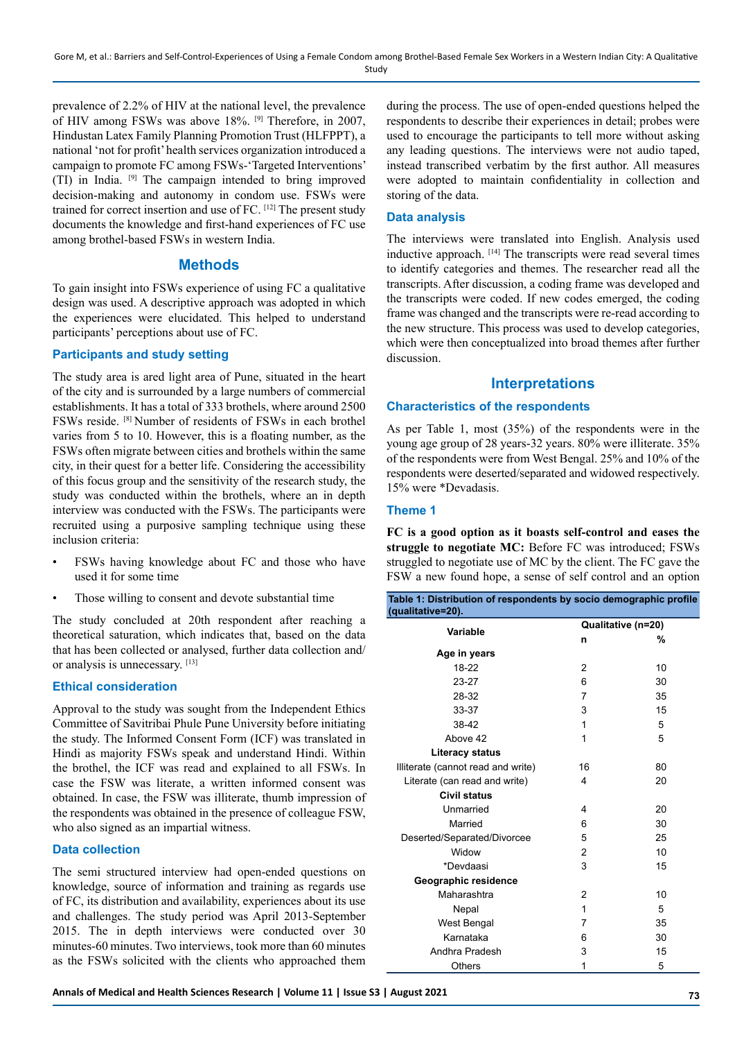Gore M, et al.: Barriers and Self-Control-Experiences of Using a Female Condom among Brothel-Based Female Sex Workers in a Western Indian City: A Qualitative Study

prevalence of 2.2% of HIV at the national level, the prevalence of HIV among FSWs was above 18%. [9] Therefore, in 2007, Hindustan Latex Family Planning Promotion Trust (HLFPPT), a national 'not for profit' health services organization introduced a campaign to promote FC among FSWs-'Targeted Interventions' (TI) in India. [9] The campaign intended to bring improved decision-making and autonomy in condom use. FSWs were trained for correct insertion and use of FC. [12] The present study documents the knowledge and first-hand experiences of FC use among brothel-based FSWs in western India.

## **Methods**

To gain insight into FSWs experience of using FC a qualitative design was used. A descriptive approach was adopted in which the experiences were elucidated. This helped to understand participants' perceptions about use of FC.

#### **Participants and study setting**

The study area is ared light area of Pune, situated in the heart of the city and is surrounded by a large numbers of commercial establishments. It has a total of 333 brothels, where around 2500 FSWs reside. [8] Number of residents of FSWs in each brothel varies from 5 to 10. However, this is a floating number, as the FSWs often migrate between cities and brothels within the same city, in their quest for a better life. Considering the accessibility of this focus group and the sensitivity of the research study, the study was conducted within the brothels, where an in depth interview was conducted with the FSWs. The participants were recruited using a purposive sampling technique using these inclusion criteria:

- FSWs having knowledge about FC and those who have used it for some time
- Those willing to consent and devote substantial time

The study concluded at 20th respondent after reaching a theoretical saturation, which indicates that, based on the data that has been collected or analysed, further data collection and/ or analysis is unnecessary. [13]

## **Ethical consideration**

Approval to the study was sought from the Independent Ethics Committee of Savitribai Phule Pune University before initiating the study. The Informed Consent Form (ICF) was translated in Hindi as majority FSWs speak and understand Hindi. Within the brothel, the ICF was read and explained to all FSWs. In case the FSW was literate, a written informed consent was obtained. In case, the FSW was illiterate, thumb impression of the respondents was obtained in the presence of colleague FSW, who also signed as an impartial witness.

## **Data collection**

The semi structured interview had open-ended questions on knowledge, source of information and training as regards use of FC, its distribution and availability, experiences about its use and challenges. The study period was April 2013-September 2015. The in depth interviews were conducted over 30 minutes-60 minutes. Two interviews, took more than 60 minutes as the FSWs solicited with the clients who approached them

during the process. The use of open-ended questions helped the respondents to describe their experiences in detail; probes were used to encourage the participants to tell more without asking any leading questions. The interviews were not audio taped, instead transcribed verbatim by the first author. All measures were adopted to maintain confidentiality in collection and storing of the data.

#### **Data analysis**

The interviews were translated into English. Analysis used inductive approach. [14] The transcripts were read several times to identify categories and themes. The researcher read all the transcripts. After discussion, a coding frame was developed and the transcripts were coded. If new codes emerged, the coding frame was changed and the transcripts were re-read according to the new structure. This process was used to develop categories, which were then conceptualized into broad themes after further discussion.

# **Interpretations**

#### **Characteristics of the respondents**

As per Table 1, most (35%) of the respondents were in the young age group of 28 years-32 years. 80% were illiterate. 35% of the respondents were from West Bengal. 25% and 10% of the respondents were deserted/separated and widowed respectively. 15% were \*Devadasis.

#### **Theme 1**

**FC is a good option as it boasts self-control and eases the struggle to negotiate MC:** Before FC was introduced; FSWs struggled to negotiate use of MC by the client. The FC gave the FSW a new found hope, a sense of self control and an option

| Table 1: Distribution of respondents by socio demographic profile<br>(qualitative=20). |                    |    |
|----------------------------------------------------------------------------------------|--------------------|----|
| Variable                                                                               | Qualitative (n=20) |    |
|                                                                                        | n                  | %  |
| Age in years                                                                           |                    |    |
| 18-22                                                                                  | 2                  | 10 |
| 23-27                                                                                  | 6                  | 30 |
| 28-32                                                                                  | 7                  | 35 |
| 33-37                                                                                  | 3                  | 15 |
| 38-42                                                                                  | 1                  | 5  |
| Above 42                                                                               | 1                  | 5  |
| <b>Literacy status</b>                                                                 |                    |    |
| Illiterate (cannot read and write)                                                     | 16                 | 80 |
| Literate (can read and write)                                                          | 4                  | 20 |
| <b>Civil status</b>                                                                    |                    |    |
| Unmarried                                                                              | 4                  | 20 |
| Married                                                                                | 6                  | 30 |
| Deserted/Separated/Divorcee                                                            | 5                  | 25 |
| Widow                                                                                  | 2                  | 10 |
| *Devdaasi                                                                              | 3                  | 15 |
| Geographic residence                                                                   |                    |    |
| Maharashtra                                                                            | 2                  | 10 |
| Nepal                                                                                  | 1                  | 5  |
| <b>West Bengal</b>                                                                     | $\overline{7}$     | 35 |
| Karnataka                                                                              | 6                  | 30 |
| Andhra Pradesh                                                                         | 3                  | 15 |
| Others                                                                                 | 1                  | 5  |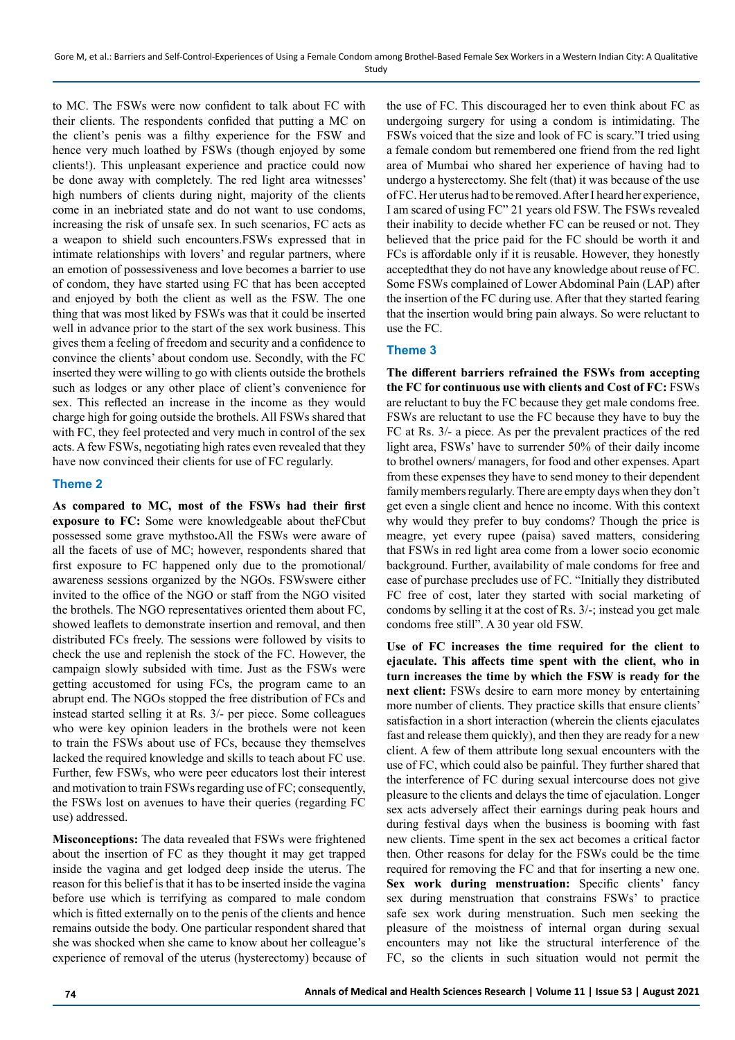to MC. The FSWs were now confident to talk about FC with their clients. The respondents confided that putting a MC on the client's penis was a filthy experience for the FSW and hence very much loathed by FSWs (though enjoyed by some clients!). This unpleasant experience and practice could now be done away with completely. The red light area witnesses' high numbers of clients during night, majority of the clients come in an inebriated state and do not want to use condoms, increasing the risk of unsafe sex. In such scenarios, FC acts as a weapon to shield such encounters.FSWs expressed that in intimate relationships with lovers' and regular partners, where an emotion of possessiveness and love becomes a barrier to use of condom, they have started using FC that has been accepted and enjoyed by both the client as well as the FSW. The one thing that was most liked by FSWs was that it could be inserted well in advance prior to the start of the sex work business. This gives them a feeling of freedom and security and a confidence to convince the clients' about condom use. Secondly, with the FC inserted they were willing to go with clients outside the brothels such as lodges or any other place of client's convenience for sex. This reflected an increase in the income as they would charge high for going outside the brothels. All FSWs shared that with FC, they feel protected and very much in control of the sex acts. A few FSWs, negotiating high rates even revealed that they have now convinced their clients for use of FC regularly.

# **Theme 2**

**As compared to MC, most of the FSWs had their first exposure to FC:** Some were knowledgeable about theFCbut possessed some grave mythstoo**.**All the FSWs were aware of all the facets of use of MC; however, respondents shared that first exposure to FC happened only due to the promotional/ awareness sessions organized by the NGOs. FSWswere either invited to the office of the NGO or staff from the NGO visited the brothels. The NGO representatives oriented them about FC, showed leaflets to demonstrate insertion and removal, and then distributed FCs freely. The sessions were followed by visits to check the use and replenish the stock of the FC. However, the campaign slowly subsided with time. Just as the FSWs were getting accustomed for using FCs, the program came to an abrupt end. The NGOs stopped the free distribution of FCs and instead started selling it at Rs. 3/- per piece. Some colleagues who were key opinion leaders in the brothels were not keen to train the FSWs about use of FCs, because they themselves lacked the required knowledge and skills to teach about FC use. Further, few FSWs, who were peer educators lost their interest and motivation to train FSWs regarding use of FC; consequently, the FSWs lost on avenues to have their queries (regarding FC use) addressed.

**Misconceptions:** The data revealed that FSWs were frightened about the insertion of FC as they thought it may get trapped inside the vagina and get lodged deep inside the uterus. The reason for this belief is that it has to be inserted inside the vagina before use which is terrifying as compared to male condom which is fitted externally on to the penis of the clients and hence remains outside the body. One particular respondent shared that she was shocked when she came to know about her colleague's experience of removal of the uterus (hysterectomy) because of the use of FC. This discouraged her to even think about FC as undergoing surgery for using a condom is intimidating. The FSWs voiced that the size and look of FC is scary."I tried using a female condom but remembered one friend from the red light area of Mumbai who shared her experience of having had to undergo a hysterectomy. She felt (that) it was because of the use of FC. Her uterus had to be removed. After I heard her experience, I am scared of using FC" 21 years old FSW. The FSWs revealed their inability to decide whether FC can be reused or not. They believed that the price paid for the FC should be worth it and FCs is affordable only if it is reusable. However, they honestly acceptedthat they do not have any knowledge about reuse of FC. Some FSWs complained of Lower Abdominal Pain (LAP) after the insertion of the FC during use. After that they started fearing that the insertion would bring pain always. So were reluctant to use the FC.

# **Theme 3**

**The different barriers refrained the FSWs from accepting the FC for continuous use with clients and Cost of FC:** FSWs are reluctant to buy the FC because they get male condoms free. FSWs are reluctant to use the FC because they have to buy the FC at Rs. 3/- a piece. As per the prevalent practices of the red light area, FSWs' have to surrender 50% of their daily income to brothel owners/ managers, for food and other expenses. Apart from these expenses they have to send money to their dependent family members regularly. There are empty days when they don't get even a single client and hence no income. With this context why would they prefer to buy condoms? Though the price is meagre, yet every rupee (paisa) saved matters, considering that FSWs in red light area come from a lower socio economic background. Further, availability of male condoms for free and ease of purchase precludes use of FC. "Initially they distributed FC free of cost, later they started with social marketing of condoms by selling it at the cost of Rs. 3/-; instead you get male condoms free still". A 30 year old FSW.

**Use of FC increases the time required for the client to ejaculate. This affects time spent with the client, who in turn increases the time by which the FSW is ready for the next client:** FSWs desire to earn more money by entertaining more number of clients. They practice skills that ensure clients' satisfaction in a short interaction (wherein the clients ejaculates fast and release them quickly), and then they are ready for a new client. A few of them attribute long sexual encounters with the use of FC, which could also be painful. They further shared that the interference of FC during sexual intercourse does not give pleasure to the clients and delays the time of ejaculation. Longer sex acts adversely affect their earnings during peak hours and during festival days when the business is booming with fast new clients. Time spent in the sex act becomes a critical factor then. Other reasons for delay for the FSWs could be the time required for removing the FC and that for inserting a new one. **Sex work during menstruation:** Specific clients' fancy sex during menstruation that constrains FSWs' to practice safe sex work during menstruation. Such men seeking the pleasure of the moistness of internal organ during sexual encounters may not like the structural interference of the FC, so the clients in such situation would not permit the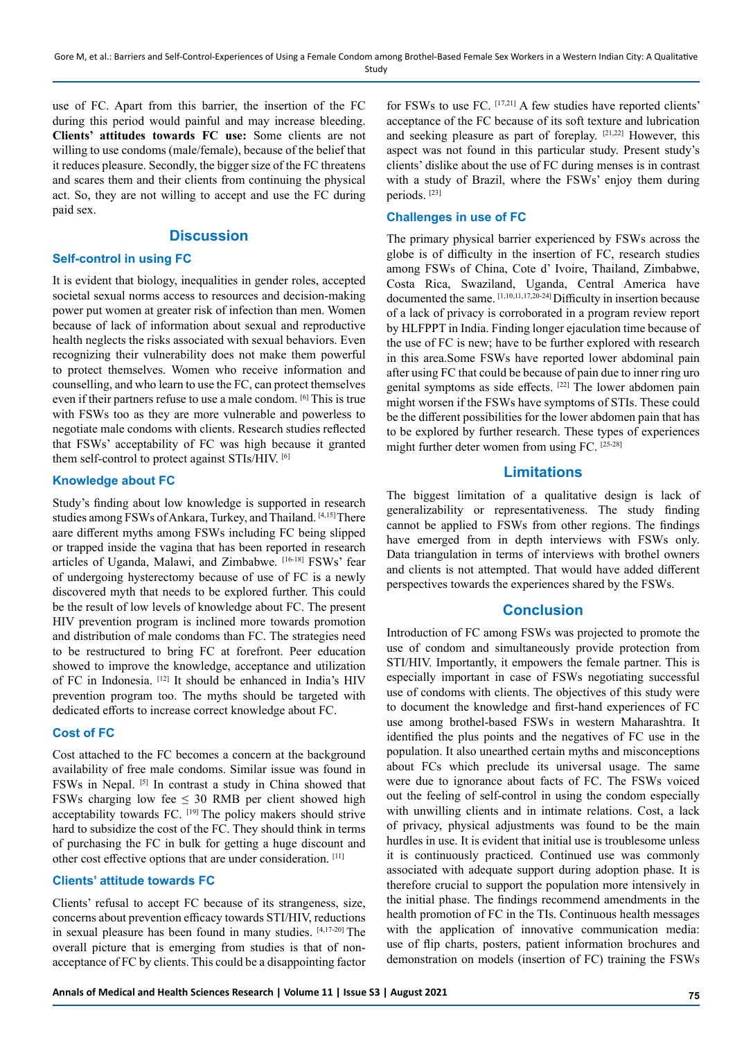use of FC. Apart from this barrier, the insertion of the FC during this period would painful and may increase bleeding. **Clients' attitudes towards FC use:** Some clients are not willing to use condoms (male/female), because of the belief that it reduces pleasure. Secondly, the bigger size of the FC threatens and scares them and their clients from continuing the physical act. So, they are not willing to accept and use the FC during paid sex.

# **Discussion**

#### **Self-control in using FC**

It is evident that biology, inequalities in gender roles, accepted societal sexual norms access to resources and decision-making power put women at greater risk of infection than men. Women because of lack of information about sexual and reproductive health neglects the risks associated with sexual behaviors. Even recognizing their vulnerability does not make them powerful to protect themselves. Women who receive information and counselling, and who learn to use the FC, can protect themselves even if their partners refuse to use a male condom. [6] This is true with FSWs too as they are more vulnerable and powerless to negotiate male condoms with clients. Research studies reflected that FSWs' acceptability of FC was high because it granted them self-control to protect against STIs/HIV. [6]

## **Knowledge about FC**

Study's finding about low knowledge is supported in research studies among FSWs of Ankara, Turkey, and Thailand. [4,15] There aare different myths among FSWs including FC being slipped or trapped inside the vagina that has been reported in research articles of Uganda, Malawi, and Zimbabwe. [16-18] FSWs' fear of undergoing hysterectomy because of use of FC is a newly discovered myth that needs to be explored further. This could be the result of low levels of knowledge about FC. The present HIV prevention program is inclined more towards promotion and distribution of male condoms than FC. The strategies need to be restructured to bring FC at forefront. Peer education showed to improve the knowledge, acceptance and utilization of FC in Indonesia. [12] It should be enhanced in India's HIV prevention program too. The myths should be targeted with dedicated efforts to increase correct knowledge about FC.

#### **Cost of FC**

Cost attached to the FC becomes a concern at the background availability of free male condoms. Similar issue was found in FSWs in Nepal. [5] In contrast a study in China showed that FSWs charging low fee  $\leq$  30 RMB per client showed high acceptability towards FC. [19] The policy makers should strive hard to subsidize the cost of the FC. They should think in terms of purchasing the FC in bulk for getting a huge discount and other cost effective options that are under consideration. [11]

# **Clients' attitude towards FC**

Clients' refusal to accept FC because of its strangeness, size, concerns about prevention efficacy towards STI/HIV, reductions in sexual pleasure has been found in many studies. [4,17-20] The overall picture that is emerging from studies is that of nonacceptance of FC by clients. This could be a disappointing factor

for FSWs to use FC. [17,21] A few studies have reported clients' acceptance of the FC because of its soft texture and lubrication and seeking pleasure as part of foreplay. [21,22] However, this aspect was not found in this particular study. Present study's clients' dislike about the use of FC during menses is in contrast with a study of Brazil, where the FSWs' enjoy them during periods. [23]

#### **Challenges in use of FC**

The primary physical barrier experienced by FSWs across the globe is of difficulty in the insertion of FC, research studies among FSWs of China, Cote d' Ivoire, Thailand, Zimbabwe, Costa Rica, Swaziland, Uganda, Central America have documented the same. [1,10,11,17,20-24] Difficulty in insertion because of a lack of privacy is corroborated in a program review report by HLFPPT in India. Finding longer ejaculation time because of the use of FC is new; have to be further explored with research in this area.Some FSWs have reported lower abdominal pain after using FC that could be because of pain due to inner ring uro genital symptoms as side effects. [22] The lower abdomen pain might worsen if the FSWs have symptoms of STIs. These could be the different possibilities for the lower abdomen pain that has to be explored by further research. These types of experiences might further deter women from using FC. [25-28]

# **Limitations**

The biggest limitation of a qualitative design is lack of generalizability or representativeness. The study finding cannot be applied to FSWs from other regions. The findings have emerged from in depth interviews with FSWs only. Data triangulation in terms of interviews with brothel owners and clients is not attempted. That would have added different perspectives towards the experiences shared by the FSWs.

#### **Conclusion**

Introduction of FC among FSWs was projected to promote the use of condom and simultaneously provide protection from STI/HIV. Importantly, it empowers the female partner. This is especially important in case of FSWs negotiating successful use of condoms with clients. The objectives of this study were to document the knowledge and first-hand experiences of FC use among brothel-based FSWs in western Maharashtra. It identified the plus points and the negatives of FC use in the population. It also unearthed certain myths and misconceptions about FCs which preclude its universal usage. The same were due to ignorance about facts of FC. The FSWs voiced out the feeling of self-control in using the condom especially with unwilling clients and in intimate relations. Cost, a lack of privacy, physical adjustments was found to be the main hurdles in use. It is evident that initial use is troublesome unless it is continuously practiced. Continued use was commonly associated with adequate support during adoption phase. It is therefore crucial to support the population more intensively in the initial phase. The findings recommend amendments in the health promotion of FC in the TIs. Continuous health messages with the application of innovative communication media: use of flip charts, posters, patient information brochures and demonstration on models (insertion of FC) training the FSWs